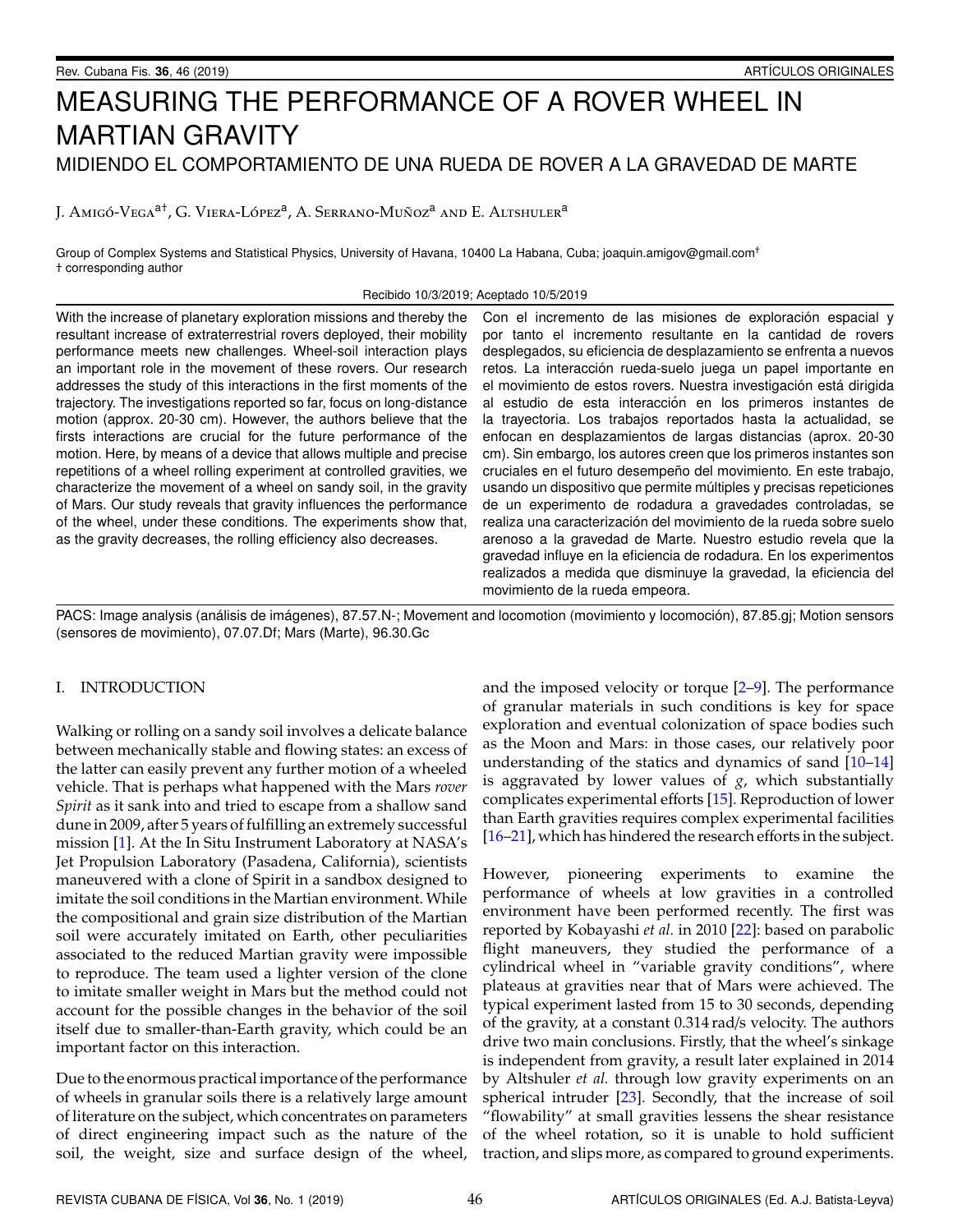# MEASURING THE PERFORMANCE OF A ROVER WHEEL IN **MARTIAN GRAVITY** MIDIENDO EL COMPORTAMIENTO DE UNA RUEDA DE ROVER A LA GRAVEDAD DE MARTE

J. AMIGÓ-VEGA<sup>at</sup>, G. VIERA-LÓPEZ<sup>a</sup>, A. SERRANO-MUÑOZ<sup>a</sup> AND E. ALTSHULER<sup>a</sup>

Group of Complex Systems and Statistical Physics, University of Havana, 10400 La Habana, Cuba; joaquin.amigov@gmail.com<sup>+</sup> + corresponding author

Recibido 10/3/2019; Aceptado 10/5/2019

With the increase of planetary exploration missions and thereby the resultant increase of extraterrestrial rovers deployed, their mobility performance meets new challenges. Wheel-soil interaction plays an important role in the movement of these rovers. Our research addresses the study of this interactions in the first moments of the trajectory. The investigations reported so far, focus on long-distance motion (approx. 20-30 cm). However, the authors believe that the firsts interactions are crucial for the future performance of the motion. Here, by means of a device that allows multiple and precise repetitions of a wheel rolling experiment at controlled gravities, we characterize the movement of a wheel on sandy soil, in the gravity of Mars. Our study reveals that gravity influences the performance of the wheel, under these conditions. The experiments show that, as the gravity decreases, the rolling efficiency also decreases.

Con el incremento de las misiones de exploración espacial y por tanto el incremento resultante en la cantidad de rovers desplegados, su eficiencia de desplazamiento se enfrenta a nuevos retos. La interacción rueda-suelo juega un papel importante en el movimiento de estos rovers. Nuestra investigación está dirigida al estudio de esta interacción en los primeros instantes de la trayectoria. Los trabajos reportados hasta la actualidad, se enfocan en desplazamientos de largas distancias (aprox. 20-30 cm). Sin embargo, los autores creen que los primeros instantes son cruciales en el futuro desempeño del movimiento. En este trabajo, usando un dispositivo que permite múltiples y precisas repeticiones de un experimento de rodadura a gravedades controladas, se realiza una caracterización del movimiento de la rueda sobre suelo arenoso a la gravedad de Marte. Nuestro estudio revela que la gravedad influye en la eficiencia de rodadura. En los experimentos realizados a medida que disminuye la gravedad, la eficiencia del movimiento de la rueda empeora.

PACS: Image analysis (análisis de imágenes), 87.57.N-; Movement and locomotion (movimiento y locomoción), 87.85.gj; Motion sensors (sensores de movimiento), 07.07.Df; Mars (Marte), 96.30.Gc

### I. INTRODUCTION

Walking or rolling on a sandy soil involves a delicate balance between mechanically stable and flowing states: an excess of the latter can easily prevent any further motion of a wheeled vehicle. That is perhaps what happened with the Mars rover Spirit as it sank into and tried to escape from a shallow sand dune in 2009, after 5 years of fulfilling an extremely successful mission [1]. At the In Situ Instrument Laboratory at NASA's Jet Propulsion Laboratory (Pasadena, California), scientists maneuvered with a clone of Spirit in a sandbox designed to imitate the soil conditions in the Martian environment. While the compositional and grain size distribution of the Martian soil were accurately imitated on Earth, other peculiarities associated to the reduced Martian gravity were impossible to reproduce. The team used a lighter version of the clone to imitate smaller weight in Mars but the method could not account for the possible changes in the behavior of the soil itself due to smaller-than-Earth gravity, which could be an important factor on this interaction.

Due to the enormous practical importance of the performance of wheels in granular soils there is a relatively large amount of literature on the subject, which concentrates on parameters of direct engineering impact such as the nature of the soil, the weight, size and surface design of the wheel,

and the imposed velocity or torque  $[2-9]$ . The performance of granular materials in such conditions is key for space exploration and eventual colonization of space bodies such as the Moon and Mars: in those cases, our relatively poor understanding of the statics and dynamics of sand  $[10-14]$ is aggravated by lower values of  $g$ , which substantially complicates experimental efforts [15]. Reproduction of lower than Earth gravities requires complex experimental facilities [16-21], which has hindered the research efforts in the subject.

However, pioneering experiments to examine the performance of wheels at low gravities in a controlled environment have been performed recently. The first was reported by Kobayashi et al. in 2010 [22]: based on parabolic flight maneuvers, they studied the performance of a cylindrical wheel in "variable gravity conditions", where plateaus at gravities near that of Mars were achieved. The typical experiment lasted from 15 to 30 seconds, depending of the gravity, at a constant 0.314 rad/s velocity. The authors drive two main conclusions. Firstly, that the wheel's sinkage is independent from gravity, a result later explained in 2014 by Altshuler et al. through low gravity experiments on an spherical intruder [23]. Secondly, that the increase of soil "flowability" at small gravities lessens the shear resistance of the wheel rotation, so it is unable to hold sufficient traction, and slips more, as compared to ground experiments.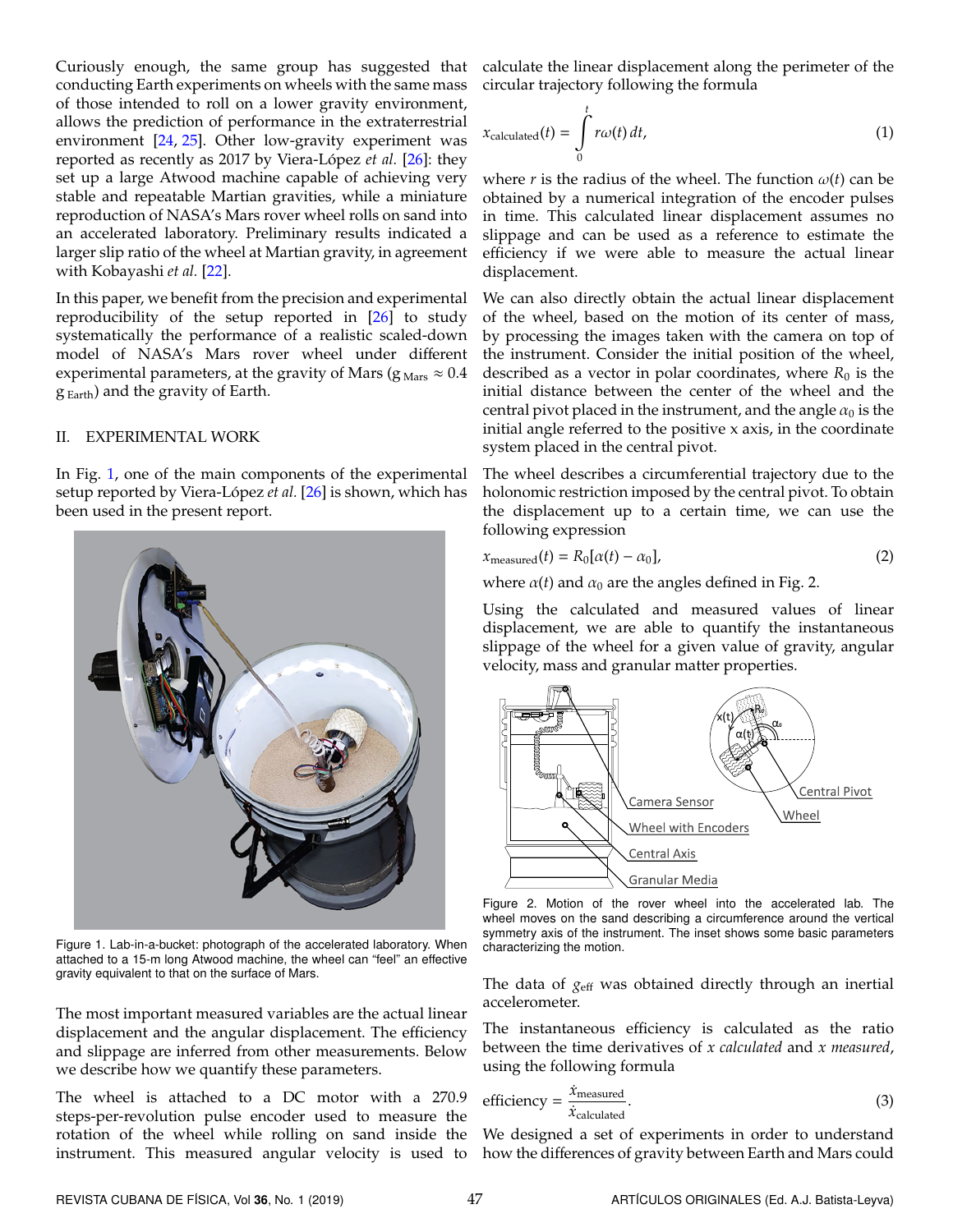Curiously enough, the same group has suggested that conducting Earth experiments on wheels with the same mass of those intended to roll on a lower gravity environment, allows the prediction of performance in the extraterrestrial environment [\[24,](#page-4-10) [25\]](#page-4-11). Other low-gravity experiment was reported as recently as 2017 by Viera-López *et al.* [\[26\]](#page-4-12): they set up a large Atwood machine capable of achieving very stable and repeatable Martian gravities, while a miniature reproduction of NASA's Mars rover wheel rolls on sand into an accelerated laboratory. Preliminary results indicated a larger slip ratio of the wheel at Martian gravity, in agreement with Kobayashi *et al.* [\[22\]](#page-4-8).

In this paper, we benefit from the precision and experimental reproducibility of the setup reported in [\[26\]](#page-4-12) to study systematically the performance of a realistic scaled-down model of NASA's Mars rover wheel under different experimental parameters, at the gravity of Mars ( $g_{\text{Mars}} \approx 0.4$ )  $g_{Earth}$ ) and the gravity of Earth.

## II. EXPERIMENTAL WORK

In Fig. [1,](#page-1-0) one of the main components of the experimental setup reported by Viera-López *et al*. [\[26\]](#page-4-12) is shown, which has been used in the present report.

<span id="page-1-0"></span>

Figure 1. Lab-in-a-bucket: photograph of the accelerated laboratory. When attached to a 15-m long Atwood machine, the wheel can "feel" an effective gravity equivalent to that on the surface of Mars.

The most important measured variables are the actual linear displacement and the angular displacement. The efficiency and slippage are inferred from other measurements. Below we describe how we quantify these parameters.

The wheel is attached to a DC motor with a 270.9 steps-per-revolution pulse encoder used to measure the rotation of the wheel while rolling on sand inside the instrument. This measured angular velocity is used to

calculate the linear displacement along the perimeter of the circular trajectory following the formula

$$
x_{\text{calculated}}(t) = \int_{0}^{t} r\omega(t) dt,
$$
\n(1)

where *r* is the radius of the wheel. The function  $\omega(t)$  can be obtained by a numerical integration of the encoder pulses in time. This calculated linear displacement assumes no slippage and can be used as a reference to estimate the efficiency if we were able to measure the actual linear displacement.

We can also directly obtain the actual linear displacement of the wheel, based on the motion of its center of mass, by processing the images taken with the camera on top of the instrument. Consider the initial position of the wheel, described as a vector in polar coordinates, where  $R_0$  is the initial distance between the center of the wheel and the central pivot placed in the instrument, and the angle  $\alpha_0$  is the initial angle referred to the positive x axis, in the coordinate system placed in the central pivot.

The wheel describes a circumferential trajectory due to the holonomic restriction imposed by the central pivot. To obtain the displacement up to a certain time, we can use the following expression

$$
x_{\text{measured}}(t) = R_0[\alpha(t) - \alpha_0],\tag{2}
$$

where  $\alpha(t)$  and  $\alpha_0$  are the angles defined in Fig. 2.

Using the calculated and measured values of linear displacement, we are able to quantify the instantaneous slippage of the wheel for a given value of gravity, angular velocity, mass and granular matter properties.



Figure 2. Motion of the rover wheel into the accelerated lab. The wheel moves on the sand describing a circumference around the vertical symmetry axis of the instrument. The inset shows some basic parameters characterizing the motion.

The data of *g*eff was obtained directly through an inertial accelerometer.

The instantaneous efficiency is calculated as the ratio between the time derivatives of *x calculated* and *x measured*, using the following formula

efficiency = 
$$
\frac{\dot{x}_{\text{measured}}}{\dot{x}_{\text{calculated}}}
$$
. (3)

We designed a set of experiments in order to understand how the differences of gravity between Earth and Mars could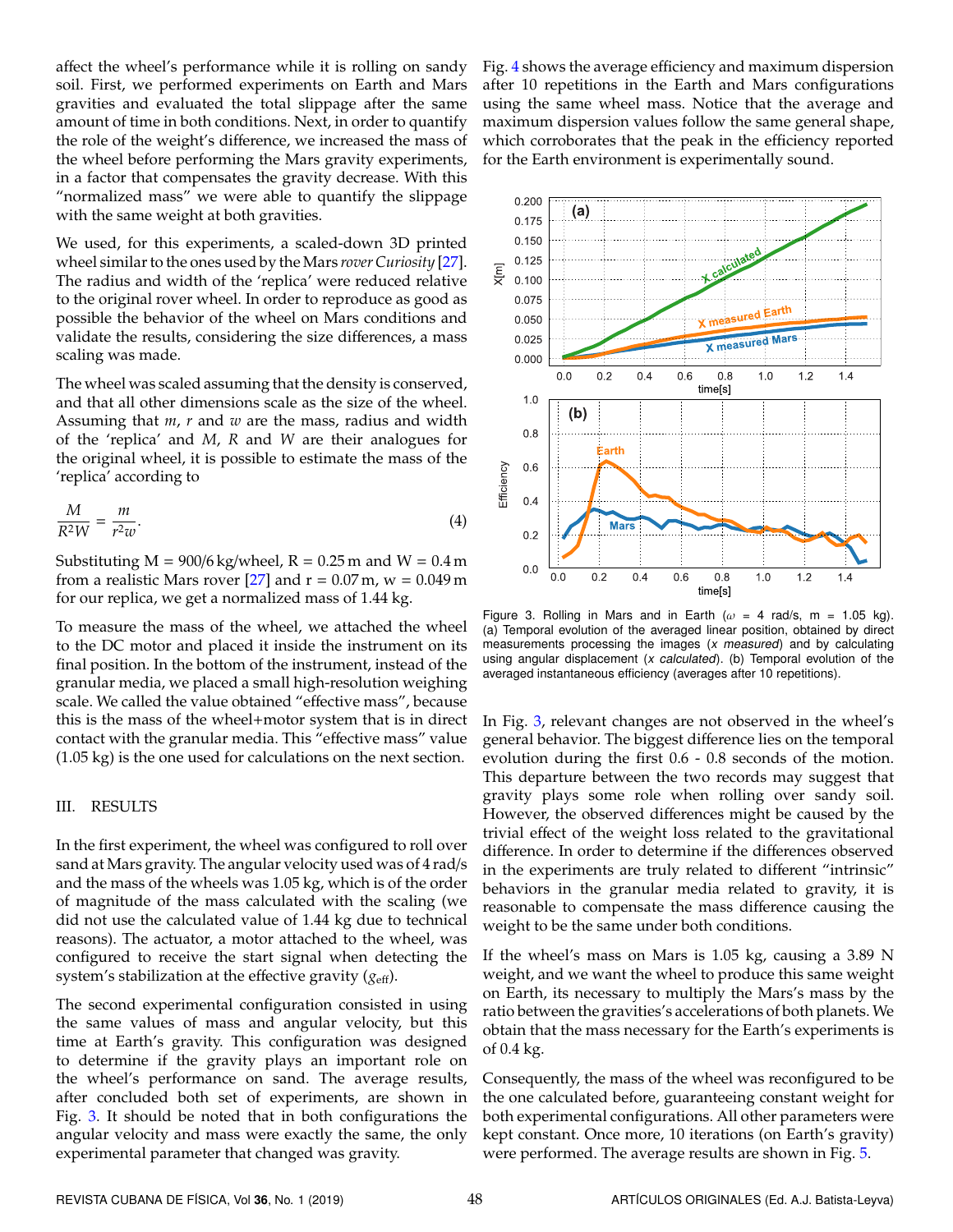affect the wheel's performance while it is rolling on sandy soil. First, we performed experiments on Earth and Mars gravities and evaluated the total slippage after the same amount of time in both conditions. Next, in order to quantify the role of the weight's difference, we increased the mass of the wheel before performing the Mars gravity experiments, in a factor that compensates the gravity decrease. With this "normalized mass" we were able to quantify the slippage with the same weight at both gravities.

We used, for this experiments, a scaled-down 3D printed wheel similar to the ones used by the Mars *rover Curiosity* [\[27\]](#page-4-13). The radius and width of the 'replica' were reduced relative to the original rover wheel. In order to reproduce as good as possible the behavior of the wheel on Mars conditions and validate the results, considering the size differences, a mass scaling was made.

The wheel was scaled assuming that the density is conserved, and that all other dimensions scale as the size of the wheel. Assuming that *m*, *r* and *w* are the mass, radius and width of the 'replica' and *M*, *R* and *W* are their analogues for the original wheel, it is possible to estimate the mass of the 'replica' according to

$$
\frac{M}{R^2 W} = \frac{m}{r^2 w}.
$$
\n(4)

Substituting  $M = 900/6$  kg/wheel,  $R = 0.25$  m and  $W = 0.4$  m from a realistic Mars rover [\[27\]](#page-4-13) and  $r = 0.07$  m,  $w = 0.049$  m for our replica, we get a normalized mass of 1.44 kg.

To measure the mass of the wheel, we attached the wheel to the DC motor and placed it inside the instrument on its final position. In the bottom of the instrument, instead of the granular media, we placed a small high-resolution weighing scale. We called the value obtained "effective mass", because this is the mass of the wheel+motor system that is in direct contact with the granular media. This "effective mass" value (1.05 kg) is the one used for calculations on the next section.

#### III. RESULTS

In the first experiment, the wheel was configured to roll over sand at Mars gravity. The angular velocity used was of 4 rad/s and the mass of the wheels was 1.05 kg, which is of the order of magnitude of the mass calculated with the scaling (we did not use the calculated value of 1.44 kg due to technical reasons). The actuator, a motor attached to the wheel, was configured to receive the start signal when detecting the system's stabilization at the effective gravity ( $g_{\text{eff}}$ ).

The second experimental configuration consisted in using the same values of mass and angular velocity, but this time at Earth's gravity. This configuration was designed to determine if the gravity plays an important role on the wheel's performance on sand. The average results, after concluded both set of experiments, are shown in Fig. [3.](#page-2-0) It should be noted that in both configurations the angular velocity and mass were exactly the same, the only experimental parameter that changed was gravity.

Fig. [4](#page-3-0) shows the average efficiency and maximum dispersion after 10 repetitions in the Earth and Mars configurations using the same wheel mass. Notice that the average and maximum dispersion values follow the same general shape, which corroborates that the peak in the efficiency reported for the Earth environment is experimentally sound.

<span id="page-2-0"></span>

Figure 3. Rolling in Mars and in Earth ( $\omega = 4$  rad/s, m = 1.05 kg). (a) Temporal evolution of the averaged linear position, obtained by direct measurements processing the images (x measured) and by calculating using angular displacement  $(x \text{ calculated})$ . (b) Temporal evolution of the averaged instantaneous efficiency (averages after 10 repetitions).

In Fig. [3,](#page-2-0) relevant changes are not observed in the wheel's general behavior. The biggest difference lies on the temporal evolution during the first 0.6 - 0.8 seconds of the motion. This departure between the two records may suggest that gravity plays some role when rolling over sandy soil. However, the observed differences might be caused by the trivial effect of the weight loss related to the gravitational difference. In order to determine if the differences observed in the experiments are truly related to different "intrinsic" behaviors in the granular media related to gravity, it is reasonable to compensate the mass difference causing the weight to be the same under both conditions.

If the wheel's mass on Mars is 1.05 kg, causing a 3.89 N weight, and we want the wheel to produce this same weight on Earth, its necessary to multiply the Mars's mass by the ratio between the gravities's accelerations of both planets. We obtain that the mass necessary for the Earth's experiments is of 0.4 kg.

Consequently, the mass of the wheel was reconfigured to be the one calculated before, guaranteeing constant weight for both experimental configurations. All other parameters were kept constant. Once more, 10 iterations (on Earth's gravity) were performed. The average results are shown in Fig. [5.](#page-3-1)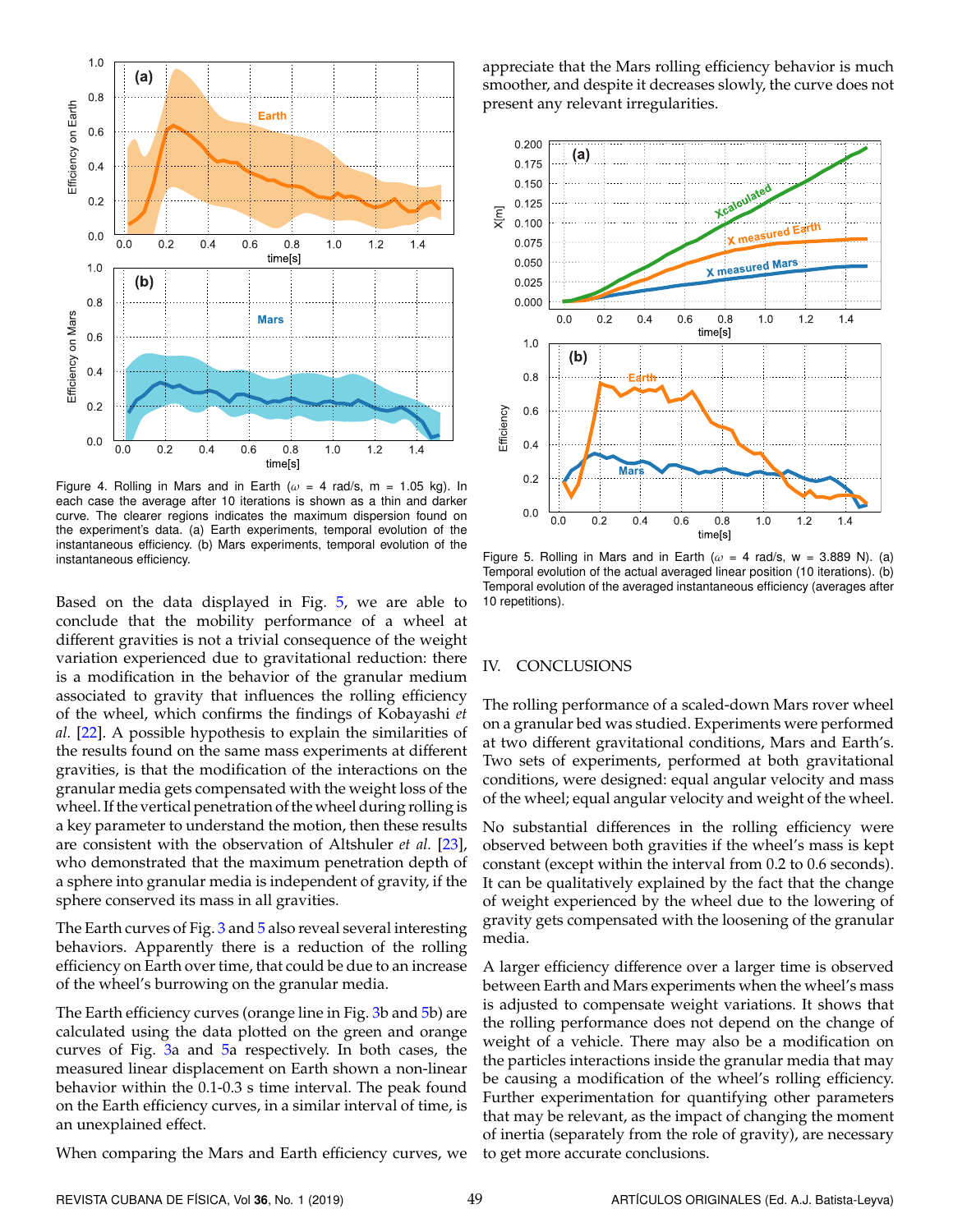<span id="page-3-0"></span>

Figure 4. Rolling in Mars and in Earth ( $\omega = 4$  rad/s, m = 1.05 kg). In each case the average after 10 iterations is shown as a thin and darker curve. The clearer regions indicates the maximum dispersion found on the experiment's data. (a) Earth experiments, temporal evolution of the instantaneous efficiency. (b) Mars experiments, temporal evolution of the instantaneous efficiency.

Based on the data displayed in Fig. [5,](#page-3-1) we are able to conclude that the mobility performance of a wheel at different gravities is not a trivial consequence of the weight variation experienced due to gravitational reduction: there is a modification in the behavior of the granular medium associated to gravity that influences the rolling efficiency of the wheel, which confirms the findings of Kobayashi *et al.* [\[22\]](#page-4-8). A possible hypothesis to explain the similarities of the results found on the same mass experiments at different gravities, is that the modification of the interactions on the granular media gets compensated with the weight loss of the wheel. If the vertical penetration of the wheel during rolling is a key parameter to understand the motion, then these results are consistent with the observation of Altshuler *et al.* [\[23\]](#page-4-9), who demonstrated that the maximum penetration depth of a sphere into granular media is independent of gravity, if the sphere conserved its mass in all gravities.

The Earth curves of Fig. [3](#page-2-0) and [5](#page-3-1) also reveal several interesting behaviors. Apparently there is a reduction of the rolling efficiency on Earth over time, that could be due to an increase of the wheel's burrowing on the granular media.

The Earth efficiency curves (orange line in Fig. [3b](#page-2-0) and [5b](#page-3-1)) are calculated using the data plotted on the green and orange curves of Fig. [3a](#page-2-0) and [5a](#page-3-1) respectively. In both cases, the measured linear displacement on Earth shown a non-linear behavior within the 0.1-0.3 s time interval. The peak found on the Earth efficiency curves, in a similar interval of time, is an unexplained effect.

When comparing the Mars and Earth efficiency curves, we

appreciate that the Mars rolling efficiency behavior is much smoother, and despite it decreases slowly, the curve does not present any relevant irregularities.

<span id="page-3-1"></span>

Figure 5. Rolling in Mars and in Earth ( $\omega = 4$  rad/s, w = 3.889 N). (a) Temporal evolution of the actual averaged linear position (10 iterations). (b) Temporal evolution of the averaged instantaneous efficiency (averages after 10 repetitions).

#### IV. CONCLUSIONS

The rolling performance of a scaled-down Mars rover wheel on a granular bed was studied. Experiments were performed at two different gravitational conditions, Mars and Earth's. Two sets of experiments, performed at both gravitational conditions, were designed: equal angular velocity and mass of the wheel; equal angular velocity and weight of the wheel.

No substantial differences in the rolling efficiency were observed between both gravities if the wheel's mass is kept constant (except within the interval from 0.2 to 0.6 seconds). It can be qualitatively explained by the fact that the change of weight experienced by the wheel due to the lowering of gravity gets compensated with the loosening of the granular media.

A larger efficiency difference over a larger time is observed between Earth and Mars experiments when the wheel's mass is adjusted to compensate weight variations. It shows that the rolling performance does not depend on the change of weight of a vehicle. There may also be a modification on the particles interactions inside the granular media that may be causing a modification of the wheel's rolling efficiency. Further experimentation for quantifying other parameters that may be relevant, as the impact of changing the moment of inertia (separately from the role of gravity), are necessary to get more accurate conclusions.